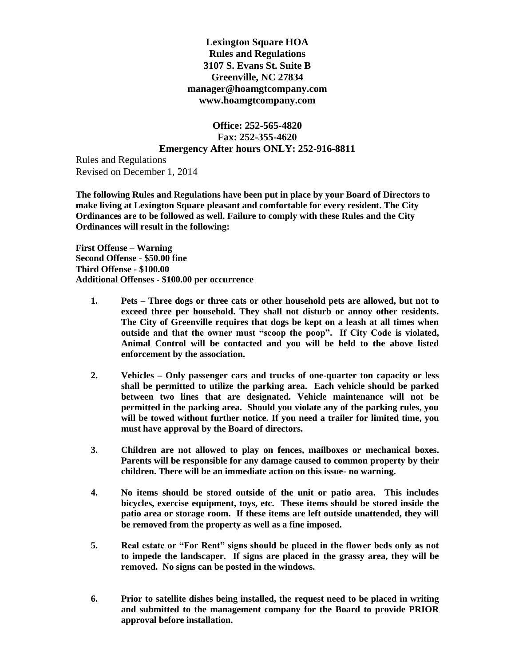**Lexington Square HOA Rules and Regulations 3107 S. Evans St. Suite B Greenville, NC 27834 manager@hoamgtcompany.com www.hoamgtcompany.com**

**Office: 252-565-4820 Fax: 252-355-4620 Emergency After hours ONLY: 252-916-8811**

Rules and Regulations Revised on December 1, 2014

**The following Rules and Regulations have been put in place by your Board of Directors to make living at Lexington Square pleasant and comfortable for every resident. The City Ordinances are to be followed as well. Failure to comply with these Rules and the City Ordinances will result in the following:**

**First Offense – Warning Second Offense - \$50.00 fine Third Offense - \$100.00 Additional Offenses - \$100.00 per occurrence**

- **1. Pets – Three dogs or three cats or other household pets are allowed, but not to exceed three per household. They shall not disturb or annoy other residents. The City of Greenville requires that dogs be kept on a leash at all times when outside and that the owner must "scoop the poop". If City Code is violated, Animal Control will be contacted and you will be held to the above listed enforcement by the association.**
- **2. Vehicles – Only passenger cars and trucks of one-quarter ton capacity or less shall be permitted to utilize the parking area. Each vehicle should be parked between two lines that are designated. Vehicle maintenance will not be permitted in the parking area. Should you violate any of the parking rules, you will be towed without further notice. If you need a trailer for limited time, you must have approval by the Board of directors.**
- **3. Children are not allowed to play on fences, mailboxes or mechanical boxes. Parents will be responsible for any damage caused to common property by their children. There will be an immediate action on this issue- no warning.**
- **4. No items should be stored outside of the unit or patio area. This includes bicycles, exercise equipment, toys, etc. These items should be stored inside the patio area or storage room. If these items are left outside unattended, they will be removed from the property as well as a fine imposed.**
- **5. Real estate or "For Rent" signs should be placed in the flower beds only as not to impede the landscaper. If signs are placed in the grassy area, they will be removed. No signs can be posted in the windows.**
- **6. Prior to satellite dishes being installed, the request need to be placed in writing and submitted to the management company for the Board to provide PRIOR approval before installation.**